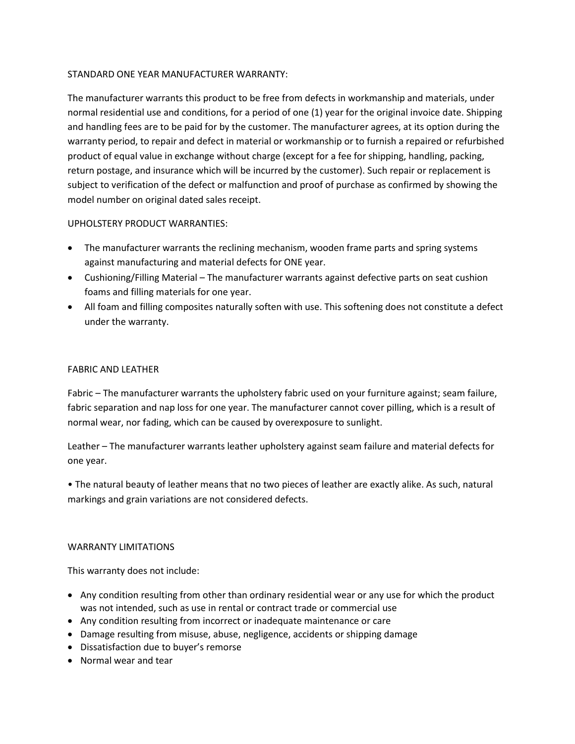# STANDARD ONE YEAR MANUFACTURER WARRANTY:

The manufacturer warrants this product to be free from defects in workmanship and materials, under normal residential use and conditions, for a period of one (1) year for the original invoice date. Shipping and handling fees are to be paid for by the customer. The manufacturer agrees, at its option during the warranty period, to repair and defect in material or workmanship or to furnish a repaired or refurbished product of equal value in exchange without charge (except for a fee for shipping, handling, packing, return postage, and insurance which will be incurred by the customer). Such repair or replacement is subject to verification of the defect or malfunction and proof of purchase as confirmed by showing the model number on original dated sales receipt.

# UPHOLSTERY PRODUCT WARRANTIES:

- The manufacturer warrants the reclining mechanism, wooden frame parts and spring systems against manufacturing and material defects for ONE year.
- Cushioning/Filling Material The manufacturer warrants against defective parts on seat cushion foams and filling materials for one year.
- All foam and filling composites naturally soften with use. This softening does not constitute a defect under the warranty.

## FABRIC AND LEATHER

Fabric – The manufacturer warrants the upholstery fabric used on your furniture against; seam failure, fabric separation and nap loss for one year. The manufacturer cannot cover pilling, which is a result of normal wear, nor fading, which can be caused by overexposure to sunlight.

Leather – The manufacturer warrants leather upholstery against seam failure and material defects for one year.

• The natural beauty of leather means that no two pieces of leather are exactly alike. As such, natural markings and grain variations are not considered defects.

### WARRANTY LIMITATIONS

This warranty does not include:

- Any condition resulting from other than ordinary residential wear or any use for which the product was not intended, such as use in rental or contract trade or commercial use
- Any condition resulting from incorrect or inadequate maintenance or care
- Damage resulting from misuse, abuse, negligence, accidents or shipping damage
- Dissatisfaction due to buyer's remorse
- Normal wear and tear